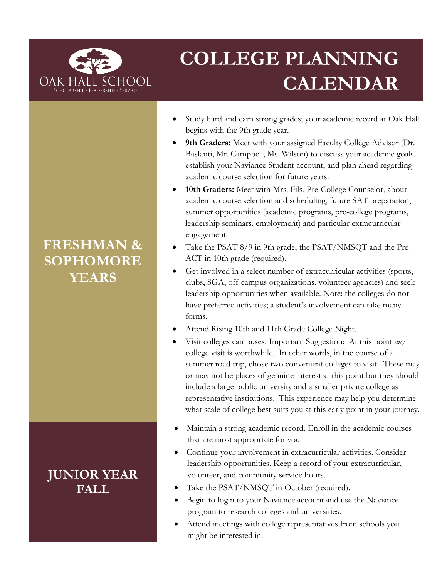

# **COLLEGE PLANNING CALENDAR**

- Study hard and earn strong grades; your academic record at Oak Hall begins with the 9th grade year.
- **9th Graders:** Meet with your assigned Faculty College Advisor (Dr. Baslanti, Mr. Campbell, Ms. Wilson) to discuss your academic goals, establish your Naviance Student account, and plan ahead regarding academic course selection for future years.
- **10th Graders:** Meet with Mrs. Fils, Pre-College Counselor, about academic course selection and scheduling, future SAT preparation, summer opportunities (academic programs, pre-college programs, leadership seminars, employment) and particular extracurricular engagement.
- Take the PSAT 8/9 in 9th grade, the PSAT/NMSQT and the Pre-ACT in 10th grade (required).
- Get involved in a select number of extracurricular activities (sports, clubs, SGA, off-campus organizations, volunteer agencies) and seek leadership opportunities when available. Note: the colleges do not have preferred activities; a student's involvement can take many forms.
- Attend Rising 10th and 11th Grade College Night.
- Visit colleges campuses. Important Suggestion: At this point *any* college visit is worthwhile. In other words, in the course of a summer road trip, chose two convenient colleges to visit. These may or may not be places of genuine interest at this point but they should include a large public university and a smaller private college as representative institutions. This experience may help you determine what scale of college best suits you at this early point in your journey.
- Maintain a strong academic record. Enroll in the academic courses that are most appropriate for you.
- Continue your involvement in extracurricular activities. Consider leadership opportunities. Keep a record of your extracurricular, volunteer, and community service hours.
- Take the PSAT/NMSQT in October (required).
- Begin to login to your Naviance account and use the Naviance program to research colleges and universities.
- Attend meetings with college representatives from schools you might be interested in.

## **FRESHMAN & SOPHOMORE YEARS**

### **JUNIOR YEAR FALL**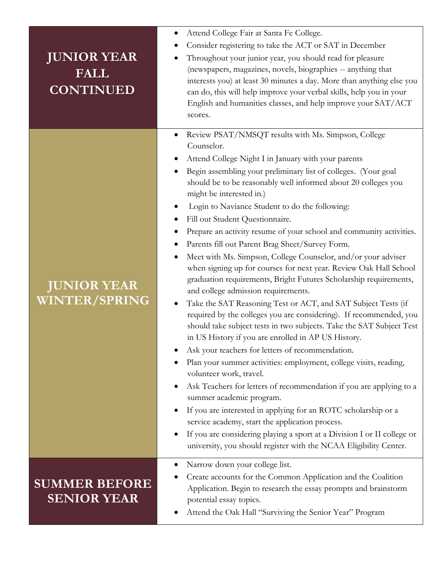| <b>JUNIOR YEAR</b><br><b>FALL</b><br><b>CONTINUED</b> | Attend College Fair at Santa Fe College.                                                                                    |
|-------------------------------------------------------|-----------------------------------------------------------------------------------------------------------------------------|
|                                                       | Consider registering to take the ACT or SAT in December                                                                     |
|                                                       | Throughout your junior year, you should read for pleasure                                                                   |
|                                                       | (newspapers, magazines, novels, biographies -- anything that                                                                |
|                                                       | interests you) at least 30 minutes a day. More than anything else you                                                       |
|                                                       | can do, this will help improve your verbal skills, help you in your                                                         |
|                                                       | English and humanities classes, and help improve your SAT/ACT                                                               |
|                                                       | scores.                                                                                                                     |
| <b>JUNIOR YEAR</b><br><b>WINTER/SPRING</b>            | Review PSAT/NMSQT results with Ms. Simpson, College                                                                         |
|                                                       | Counselor.                                                                                                                  |
|                                                       | Attend College Night I in January with your parents                                                                         |
|                                                       | Begin assembling your preliminary list of colleges. (Your goal                                                              |
|                                                       | should be to be reasonably well informed about 20 colleges you<br>might be interested in.)                                  |
|                                                       | Login to Naviance Student to do the following:<br>$\bullet$                                                                 |
|                                                       | Fill out Student Questionnaire.                                                                                             |
|                                                       | Prepare an activity resume of your school and community activities.                                                         |
|                                                       | Parents fill out Parent Brag Sheet/Survey Form.                                                                             |
|                                                       | Meet with Ms. Simpson, College Counselor, and/or your adviser<br>$\bullet$                                                  |
|                                                       | when signing up for courses for next year. Review Oak Hall School                                                           |
|                                                       | graduation requirements, Bright Futures Scholarship requirements,                                                           |
|                                                       | and college admission requirements.                                                                                         |
|                                                       | Take the SAT Reasoning Test or ACT, and SAT Subject Tests (if                                                               |
|                                                       | required by the colleges you are considering). If recommended, you                                                          |
|                                                       | should take subject tests in two subjects. Take the SAT Subject Test<br>in US History if you are enrolled in AP US History. |
|                                                       | Ask your teachers for letters of recommendation.                                                                            |
|                                                       | Plan your summer activities: employment, college visits, reading,                                                           |
|                                                       | volunteer work, travel.                                                                                                     |
|                                                       | Ask Teachers for letters of recommendation if you are applying to a                                                         |
|                                                       | summer academic program.                                                                                                    |
|                                                       | If you are interested in applying for an ROTC scholarship or a                                                              |
|                                                       | service academy, start the application process.                                                                             |
|                                                       | If you are considering playing a sport at a Division I or II college or                                                     |
|                                                       | university, you should register with the NCAA Eligibility Center.                                                           |
| <b>SUMMER BEFORE</b><br><b>SENIOR YEAR</b>            | Narrow down your college list.                                                                                              |
|                                                       | Create accounts for the Common Application and the Coalition                                                                |
|                                                       | Application. Begin to research the essay prompts and brainstorm                                                             |
|                                                       | potential essay topics.                                                                                                     |
|                                                       | Attend the Oak Hall "Surviving the Senior Year" Program                                                                     |